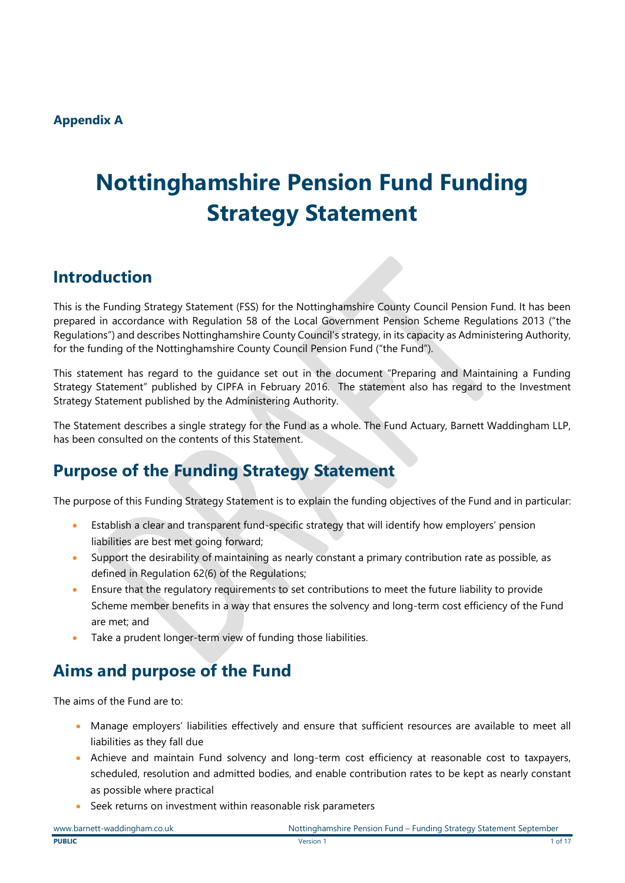# **Nottinghamshire Pension Fund Funding Strategy Statement**

## **Introduction**

This is the Funding Strategy Statement (FSS) for the Nottinghamshire County Council Pension Fund. It has been prepared in accordance with Regulation 58 of the Local Government Pension Scheme Regulations 2013 ("the Regulations") and describes Nottinghamshire County Council's strategy, in its capacity as Administering Authority, for the funding of the Nottinghamshire County Council Pension Fund ("the Fund").

This statement has regard to the guidance set out in the document "Preparing and Maintaining a Funding Strategy Statement" published by CIPFA in February 2016. The statement also has regard to the Investment Strategy Statement published by the Administering Authority.

The Statement describes a single strategy for the Fund as a whole. The Fund Actuary, Barnett Waddingham LLP, has been consulted on the contents of this Statement.

## **Purpose of the Funding Strategy Statement**

The purpose of this Funding Strategy Statement is to explain the funding objectives of the Fund and in particular:

- Establish a clear and transparent fund-specific strategy that will identify how employers' pension liabilities are best met going forward;
- Support the desirability of maintaining as nearly constant a primary contribution rate as possible, as defined in Regulation 62(6) of the Regulations;
- Ensure that the regulatory requirements to set contributions to meet the future liability to provide Scheme member benefits in a way that ensures the solvency and long-term cost efficiency of the Fund are met; and
- Take a prudent longer-term view of funding those liabilities.

## **Aims and purpose of the Fund**

The aims of the Fund are to:

- Manage employers' liabilities effectively and ensure that sufficient resources are available to meet all liabilities as they fall due
- Achieve and maintain Fund solvency and long-term cost efficiency at reasonable cost to taxpayers, scheduled, resolution and admitted bodies, and enable contribution rates to be kept as nearly constant as possible where practical
- Seek returns on investment within reasonable risk parameters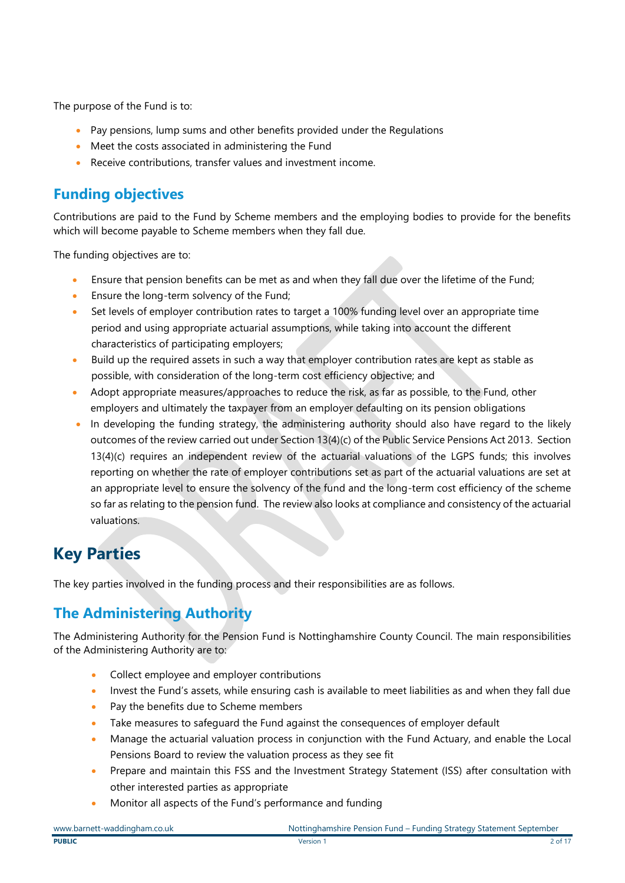The purpose of the Fund is to:

- Pay pensions, lump sums and other benefits provided under the Regulations
- Meet the costs associated in administering the Fund
- Receive contributions, transfer values and investment income.

### **Funding objectives**

Contributions are paid to the Fund by Scheme members and the employing bodies to provide for the benefits which will become payable to Scheme members when they fall due.

The funding objectives are to:

- Ensure that pension benefits can be met as and when they fall due over the lifetime of the Fund;
- Ensure the long-term solvency of the Fund;
- Set levels of employer contribution rates to target a 100% funding level over an appropriate time period and using appropriate actuarial assumptions, while taking into account the different characteristics of participating employers;
- Build up the required assets in such a way that employer contribution rates are kept as stable as possible, with consideration of the long-term cost efficiency objective; and
- Adopt appropriate measures/approaches to reduce the risk, as far as possible, to the Fund, other employers and ultimately the taxpayer from an employer defaulting on its pension obligations
- In developing the funding strategy, the administering authority should also have regard to the likely outcomes of the review carried out under Section 13(4)(c) of the Public Service Pensions Act 2013. Section 13(4)(c) requires an independent review of the actuarial valuations of the LGPS funds; this involves reporting on whether the rate of employer contributions set as part of the actuarial valuations are set at an appropriate level to ensure the solvency of the fund and the long-term cost efficiency of the scheme so far as relating to the pension fund. The review also looks at compliance and consistency of the actuarial valuations.

## **Key Parties**

The key parties involved in the funding process and their responsibilities are as follows.

### **The Administering Authority**

The Administering Authority for the Pension Fund is Nottinghamshire County Council. The main responsibilities of the Administering Authority are to:

- Collect employee and employer contributions
- Invest the Fund's assets, while ensuring cash is available to meet liabilities as and when they fall due
- Pay the benefits due to Scheme members
- Take measures to safeguard the Fund against the consequences of employer default
- Manage the actuarial valuation process in conjunction with the Fund Actuary, and enable the Local Pensions Board to review the valuation process as they see fit
- Prepare and maintain this FSS and the Investment Strategy Statement (ISS) after consultation with other interested parties as appropriate
- Monitor all aspects of the Fund's performance and funding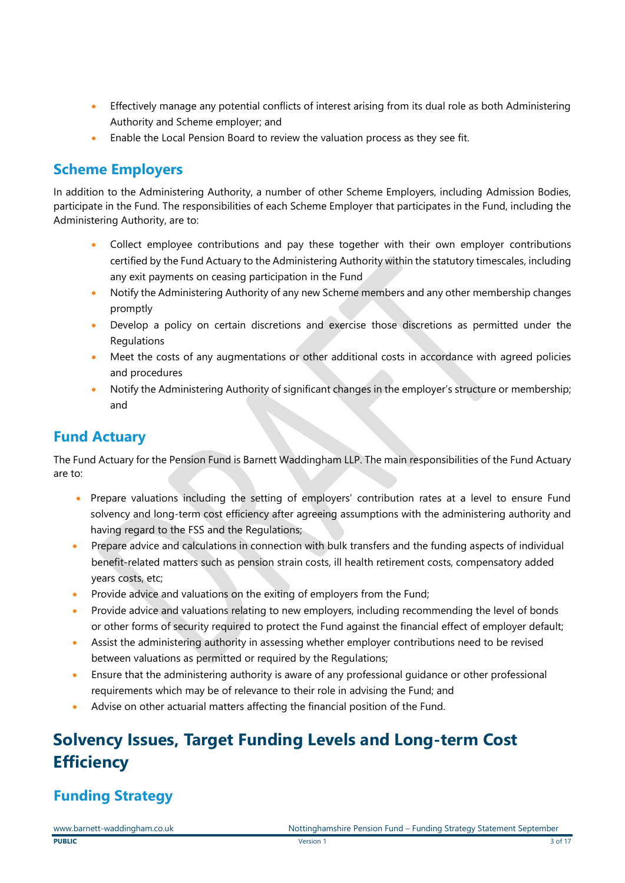- Effectively manage any potential conflicts of interest arising from its dual role as both Administering Authority and Scheme employer; and
- Enable the Local Pension Board to review the valuation process as they see fit.

### **Scheme Employers**

In addition to the Administering Authority, a number of other Scheme Employers, including Admission Bodies, participate in the Fund. The responsibilities of each Scheme Employer that participates in the Fund, including the Administering Authority, are to:

- Collect employee contributions and pay these together with their own employer contributions certified by the Fund Actuary to the Administering Authority within the statutory timescales, including any exit payments on ceasing participation in the Fund
- Notify the Administering Authority of any new Scheme members and any other membership changes promptly
- Develop a policy on certain discretions and exercise those discretions as permitted under the **Regulations**
- Meet the costs of any augmentations or other additional costs in accordance with agreed policies and procedures
- Notify the Administering Authority of significant changes in the employer's structure or membership; and

### **Fund Actuary**

The Fund Actuary for the Pension Fund is Barnett Waddingham LLP. The main responsibilities of the Fund Actuary are to:

- Prepare valuations including the setting of employers' contribution rates at a level to ensure Fund solvency and long-term cost efficiency after agreeing assumptions with the administering authority and having regard to the FSS and the Regulations;
- Prepare advice and calculations in connection with bulk transfers and the funding aspects of individual benefit-related matters such as pension strain costs, ill health retirement costs, compensatory added years costs, etc;
- Provide advice and valuations on the exiting of employers from the Fund;
- Provide advice and valuations relating to new employers, including recommending the level of bonds or other forms of security required to protect the Fund against the financial effect of employer default;
- Assist the administering authority in assessing whether employer contributions need to be revised between valuations as permitted or required by the Regulations;
- Ensure that the administering authority is aware of any professional guidance or other professional requirements which may be of relevance to their role in advising the Fund; and
- Advise on other actuarial matters affecting the financial position of the Fund.

## **Solvency Issues, Target Funding Levels and Long-term Cost Efficiency**

## **Funding Strategy**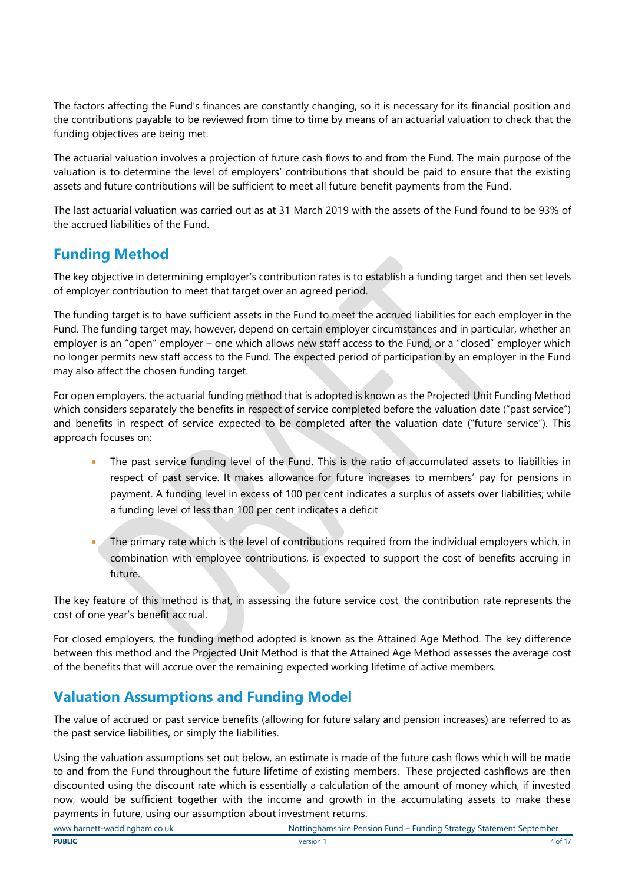The factors affecting the Fund's finances are constantly changing, so it is necessary for its financial position and the contributions payable to be reviewed from time to time by means of an actuarial valuation to check that the funding objectives are being met.

The actuarial valuation involves a projection of future cash flows to and from the Fund. The main purpose of the valuation is to determine the level of employers' contributions that should be paid to ensure that the existing assets and future contributions will be sufficient to meet all future benefit payments from the Fund.

The last actuarial valuation was carried out as at 31 March 2019 with the assets of the Fund found to be 93% of the accrued liabilities of the Fund.

### **Funding Method**

The key objective in determining employer's contribution rates is to establish a funding target and then set levels of employer contribution to meet that target over an agreed period.

The funding target is to have sufficient assets in the Fund to meet the accrued liabilities for each employer in the Fund. The funding target may, however, depend on certain employer circumstances and in particular, whether an employer is an "open" employer – one which allows new staff access to the Fund, or a "closed" employer which no longer permits new staff access to the Fund. The expected period of participation by an employer in the Fund may also affect the chosen funding target.

For open employers, the actuarial funding method that is adopted is known as the Projected Unit Funding Method which considers separately the benefits in respect of service completed before the valuation date ("past service") and benefits in respect of service expected to be completed after the valuation date ("future service"). This approach focuses on:

- The past service funding level of the Fund. This is the ratio of accumulated assets to liabilities in respect of past service. It makes allowance for future increases to members' pay for pensions in payment. A funding level in excess of 100 per cent indicates a surplus of assets over liabilities; while a funding level of less than 100 per cent indicates a deficit
- The primary rate which is the level of contributions required from the individual employers which, in combination with employee contributions, is expected to support the cost of benefits accruing in future.

The key feature of this method is that, in assessing the future service cost, the contribution rate represents the cost of one year's benefit accrual.

For closed employers, the funding method adopted is known as the Attained Age Method. The key difference between this method and the Projected Unit Method is that the Attained Age Method assesses the average cost of the benefits that will accrue over the remaining expected working lifetime of active members.

### **Valuation Assumptions and Funding Model**

The value of accrued or past service benefits (allowing for future salary and pension increases) are referred to as the past service liabilities, or simply the liabilities.

Using the valuation assumptions set out below, an estimate is made of the future cash flows which will be made to and from the Fund throughout the future lifetime of existing members. These projected cashflows are then discounted using the discount rate which is essentially a calculation of the amount of money which, if invested now, would be sufficient together with the income and growth in the accumulating assets to make these payments in future, using our assumption about investment returns.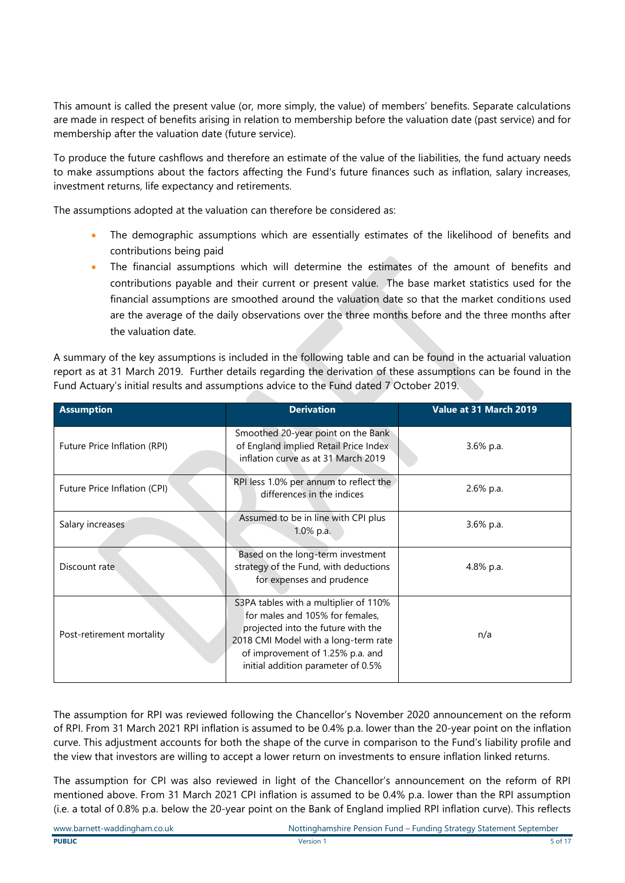This amount is called the present value (or, more simply, the value) of members' benefits. Separate calculations are made in respect of benefits arising in relation to membership before the valuation date (past service) and for membership after the valuation date (future service).

To produce the future cashflows and therefore an estimate of the value of the liabilities, the fund actuary needs to make assumptions about the factors affecting the Fund's future finances such as inflation, salary increases, investment returns, life expectancy and retirements.

The assumptions adopted at the valuation can therefore be considered as:

- The demographic assumptions which are essentially estimates of the likelihood of benefits and contributions being paid
- The financial assumptions which will determine the estimates of the amount of benefits and contributions payable and their current or present value. The base market statistics used for the financial assumptions are smoothed around the valuation date so that the market conditions used are the average of the daily observations over the three months before and the three months after the valuation date.

A summary of the key assumptions is included in the following table and can be found in the actuarial valuation report as at 31 March 2019. Further details regarding the derivation of these assumptions can be found in the Fund Actuary's initial results and assumptions advice to the Fund dated 7 October 2019.

| <b>Assumption</b>            | <b>Derivation</b>                                                                                                                                                                                                                | Value at 31 March 2019 |
|------------------------------|----------------------------------------------------------------------------------------------------------------------------------------------------------------------------------------------------------------------------------|------------------------|
| Future Price Inflation (RPI) | Smoothed 20-year point on the Bank<br>of England implied Retail Price Index<br>inflation curve as at 31 March 2019                                                                                                               | 3.6% p.a.              |
| Future Price Inflation (CPI) | RPI less 1.0% per annum to reflect the<br>differences in the indices                                                                                                                                                             | 2.6% p.a.              |
| Salary increases             | Assumed to be in line with CPI plus<br>1.0% p.a.                                                                                                                                                                                 | 3.6% p.a.              |
| Discount rate                | Based on the long-term investment<br>strategy of the Fund, with deductions<br>for expenses and prudence                                                                                                                          | 4.8% p.a.              |
| Post-retirement mortality    | S3PA tables with a multiplier of 110%<br>for males and 105% for females,<br>projected into the future with the<br>2018 CMI Model with a long-term rate<br>of improvement of 1.25% p.a. and<br>initial addition parameter of 0.5% | n/a                    |

The assumption for RPI was reviewed following the Chancellor's November 2020 announcement on the reform of RPI. From 31 March 2021 RPI inflation is assumed to be 0.4% p.a. lower than the 20-year point on the inflation curve. This adjustment accounts for both the shape of the curve in comparison to the Fund's liability profile and the view that investors are willing to accept a lower return on investments to ensure inflation linked returns.

The assumption for CPI was also reviewed in light of the Chancellor's announcement on the reform of RPI mentioned above. From 31 March 2021 CPI inflation is assumed to be 0.4% p.a. lower than the RPI assumption (i.e. a total of 0.8% p.a. below the 20-year point on the Bank of England implied RPI inflation curve). This reflects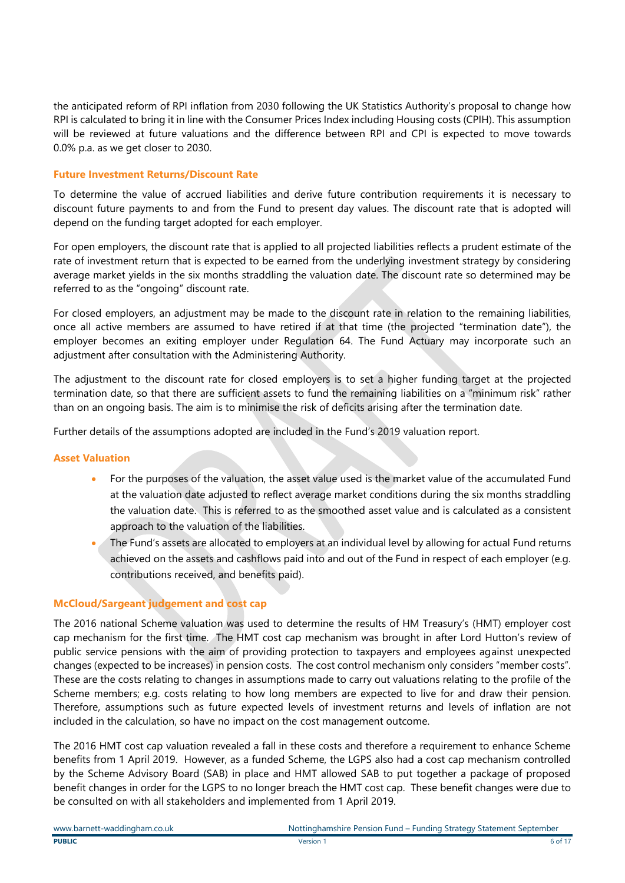the anticipated reform of RPI inflation from 2030 following the UK Statistics Authority's proposal to change how RPI is calculated to bring it in line with the Consumer Prices Index including Housing costs (CPIH). This assumption will be reviewed at future valuations and the difference between RPI and CPI is expected to move towards 0.0% p.a. as we get closer to 2030.

#### **Future Investment Returns/Discount Rate**

To determine the value of accrued liabilities and derive future contribution requirements it is necessary to discount future payments to and from the Fund to present day values. The discount rate that is adopted will depend on the funding target adopted for each employer.

For open employers, the discount rate that is applied to all projected liabilities reflects a prudent estimate of the rate of investment return that is expected to be earned from the underlying investment strategy by considering average market yields in the six months straddling the valuation date. The discount rate so determined may be referred to as the "ongoing" discount rate.

For closed employers, an adjustment may be made to the discount rate in relation to the remaining liabilities, once all active members are assumed to have retired if at that time (the projected "termination date"), the employer becomes an exiting employer under Regulation 64. The Fund Actuary may incorporate such an adjustment after consultation with the Administering Authority.

The adjustment to the discount rate for closed employers is to set a higher funding target at the projected termination date, so that there are sufficient assets to fund the remaining liabilities on a "minimum risk" rather than on an ongoing basis. The aim is to minimise the risk of deficits arising after the termination date.

Further details of the assumptions adopted are included in the Fund's 2019 valuation report.

#### **Asset Valuation**

- For the purposes of the valuation, the asset value used is the market value of the accumulated Fund at the valuation date adjusted to reflect average market conditions during the six months straddling the valuation date. This is referred to as the smoothed asset value and is calculated as a consistent approach to the valuation of the liabilities.
- The Fund's assets are allocated to employers at an individual level by allowing for actual Fund returns achieved on the assets and cashflows paid into and out of the Fund in respect of each employer (e.g. contributions received, and benefits paid).

#### **McCloud/Sargeant judgement and cost cap**

The 2016 national Scheme valuation was used to determine the results of HM Treasury's (HMT) employer cost cap mechanism for the first time. The HMT cost cap mechanism was brought in after Lord Hutton's review of public service pensions with the aim of providing protection to taxpayers and employees against unexpected changes (expected to be increases) in pension costs. The cost control mechanism only considers "member costs". These are the costs relating to changes in assumptions made to carry out valuations relating to the profile of the Scheme members; e.g. costs relating to how long members are expected to live for and draw their pension. Therefore, assumptions such as future expected levels of investment returns and levels of inflation are not included in the calculation, so have no impact on the cost management outcome.

The 2016 HMT cost cap valuation revealed a fall in these costs and therefore a requirement to enhance Scheme benefits from 1 April 2019. However, as a funded Scheme, the LGPS also had a cost cap mechanism controlled by the Scheme Advisory Board (SAB) in place and HMT allowed SAB to put together a package of proposed benefit changes in order for the LGPS to no longer breach the HMT cost cap. These benefit changes were due to be consulted on with all stakeholders and implemented from 1 April 2019.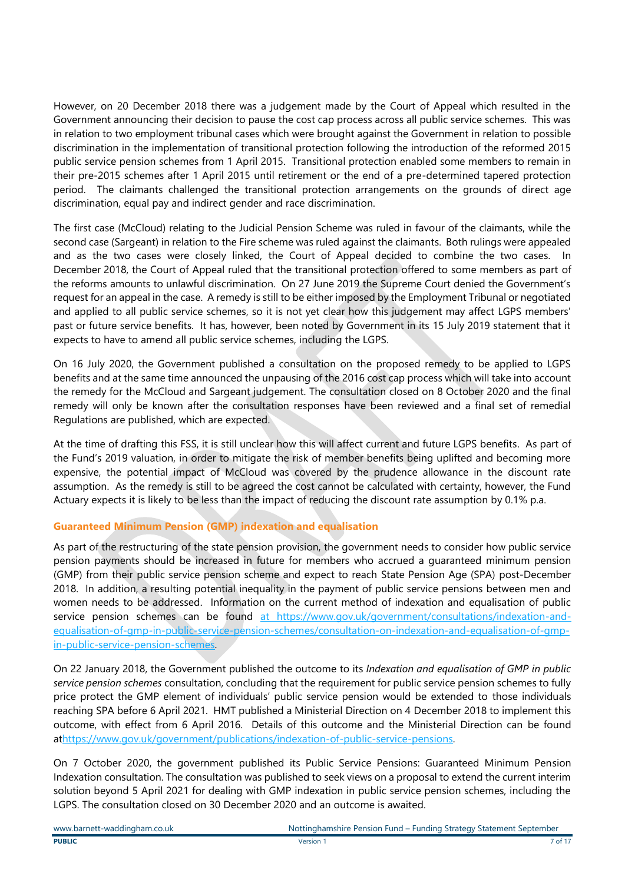However, on 20 December 2018 there was a judgement made by the Court of Appeal which resulted in the Government announcing their decision to pause the cost cap process across all public service schemes. This was in relation to two employment tribunal cases which were brought against the Government in relation to possible discrimination in the implementation of transitional protection following the introduction of the reformed 2015 public service pension schemes from 1 April 2015. Transitional protection enabled some members to remain in their pre-2015 schemes after 1 April 2015 until retirement or the end of a pre-determined tapered protection period. The claimants challenged the transitional protection arrangements on the grounds of direct age discrimination, equal pay and indirect gender and race discrimination.

The first case (McCloud) relating to the Judicial Pension Scheme was ruled in favour of the claimants, while the second case (Sargeant) in relation to the Fire scheme was ruled against the claimants. Both rulings were appealed and as the two cases were closely linked, the Court of Appeal decided to combine the two cases. In December 2018, the Court of Appeal ruled that the transitional protection offered to some members as part of the reforms amounts to unlawful discrimination. On 27 June 2019 the Supreme Court denied the Government's request for an appeal in the case. A remedy is still to be either imposed by the Employment Tribunal or negotiated and applied to all public service schemes, so it is not yet clear how this judgement may affect LGPS members' past or future service benefits. It has, however, been noted by Government in its 15 July 2019 statement that it expects to have to amend all public service schemes, including the LGPS.

On 16 July 2020, the Government published a consultation on the proposed remedy to be applied to LGPS benefits and at the same time announced the unpausing of the 2016 cost cap process which will take into account the remedy for the McCloud and Sargeant judgement. The consultation closed on 8 October 2020 and the final remedy will only be known after the consultation responses have been reviewed and a final set of remedial Regulations are published, which are expected.

At the time of drafting this FSS, it is still unclear how this will affect current and future LGPS benefits. As part of the Fund's 2019 valuation, in order to mitigate the risk of member benefits being uplifted and becoming more expensive, the potential impact of McCloud was covered by the prudence allowance in the discount rate assumption. As the remedy is still to be agreed the cost cannot be calculated with certainty, however, the Fund Actuary expects it is likely to be less than the impact of reducing the discount rate assumption by 0.1% p.a.

#### **Guaranteed Minimum Pension (GMP) indexation and equalisation**

As part of the restructuring of the state pension provision, the government needs to consider how public service pension payments should be increased in future for members who accrued a guaranteed minimum pension (GMP) from their public service pension scheme and expect to reach State Pension Age (SPA) post-December 2018. In addition, a resulting potential inequality in the payment of public service pensions between men and women needs to be addressed. Information on the current method of indexation and equalisation of public service pension schemes can be found [at](https://www.gov.uk/government/consultations/indexation-and-equalisation-of-gmp-in-public-service-pension-schemes/consultation-on-indexation-and-equalisation-of-gmp-in-public-service-pension-schemes) https://www.gov.uk/government/consultations/indexation-andequalisation-of-gmp-in-public-service-pension-schemes/consultation-on-indexation-and-equalisation-of-gmpin-public-service-pension-schemes.

On 22 January 2018, the Government published the outcome to its *Indexation and equalisation of GMP in public service pension schemes* consultation, concluding that the requirement for public service pension schemes to fully price protect the GMP element of individuals' public service pension would be extended to those individuals reaching SPA before 6 April 2021. HMT published a Ministerial Direction on 4 December 2018 to implement this outcome, with effect from 6 April 2016. Details of this outcome and the Ministerial Direction can be found a[thttps://www.gov.uk/government/publications/indexation-of-public-service-pensions.](https://www.gov.uk/government/publications/indexation-of-public-service-pensions)

On 7 October 2020, the government published its Public Service Pensions: Guaranteed Minimum Pension Indexation consultation. The consultation was published to seek views on a proposal to extend the current interim solution beyond 5 April 2021 for dealing with GMP indexation in public service pension schemes, including the LGPS. The consultation closed on 30 December 2020 and an outcome is awaited.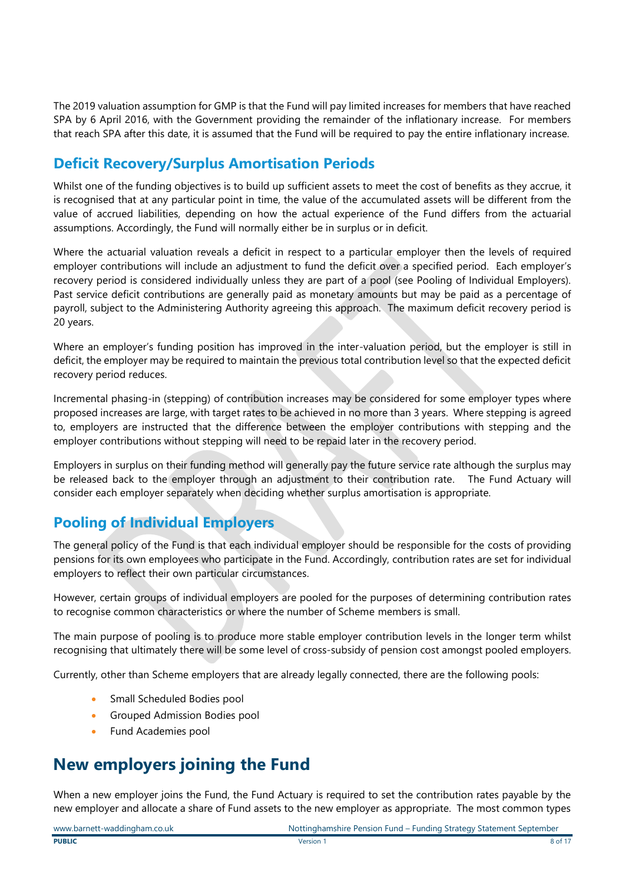The 2019 valuation assumption for GMP is that the Fund will pay limited increases for members that have reached SPA by 6 April 2016, with the Government providing the remainder of the inflationary increase. For members that reach SPA after this date, it is assumed that the Fund will be required to pay the entire inflationary increase.

### **Deficit Recovery/Surplus Amortisation Periods**

Whilst one of the funding objectives is to build up sufficient assets to meet the cost of benefits as they accrue, it is recognised that at any particular point in time, the value of the accumulated assets will be different from the value of accrued liabilities, depending on how the actual experience of the Fund differs from the actuarial assumptions. Accordingly, the Fund will normally either be in surplus or in deficit.

Where the actuarial valuation reveals a deficit in respect to a particular employer then the levels of required employer contributions will include an adjustment to fund the deficit over a specified period. Each employer's recovery period is considered individually unless they are part of a pool (see Pooling of Individual Employers). Past service deficit contributions are generally paid as monetary amounts but may be paid as a percentage of payroll, subject to the Administering Authority agreeing this approach. The maximum deficit recovery period is 20 years.

Where an employer's funding position has improved in the inter-valuation period, but the employer is still in deficit, the employer may be required to maintain the previous total contribution level so that the expected deficit recovery period reduces.

Incremental phasing-in (stepping) of contribution increases may be considered for some employer types where proposed increases are large, with target rates to be achieved in no more than 3 years. Where stepping is agreed to, employers are instructed that the difference between the employer contributions with stepping and the employer contributions without stepping will need to be repaid later in the recovery period.

Employers in surplus on their funding method will generally pay the future service rate although the surplus may be released back to the employer through an adjustment to their contribution rate. The Fund Actuary will consider each employer separately when deciding whether surplus amortisation is appropriate.

### **Pooling of Individual Employers**

The general policy of the Fund is that each individual employer should be responsible for the costs of providing pensions for its own employees who participate in the Fund. Accordingly, contribution rates are set for individual employers to reflect their own particular circumstances.

However, certain groups of individual employers are pooled for the purposes of determining contribution rates to recognise common characteristics or where the number of Scheme members is small.

The main purpose of pooling is to produce more stable employer contribution levels in the longer term whilst recognising that ultimately there will be some level of cross-subsidy of pension cost amongst pooled employers.

Currently, other than Scheme employers that are already legally connected, there are the following pools:

- Small Scheduled Bodies pool
- Grouped Admission Bodies pool
- Fund Academies pool

## **New employers joining the Fund**

When a new employer joins the Fund, the Fund Actuary is required to set the contribution rates payable by the new employer and allocate a share of Fund assets to the new employer as appropriate. The most common types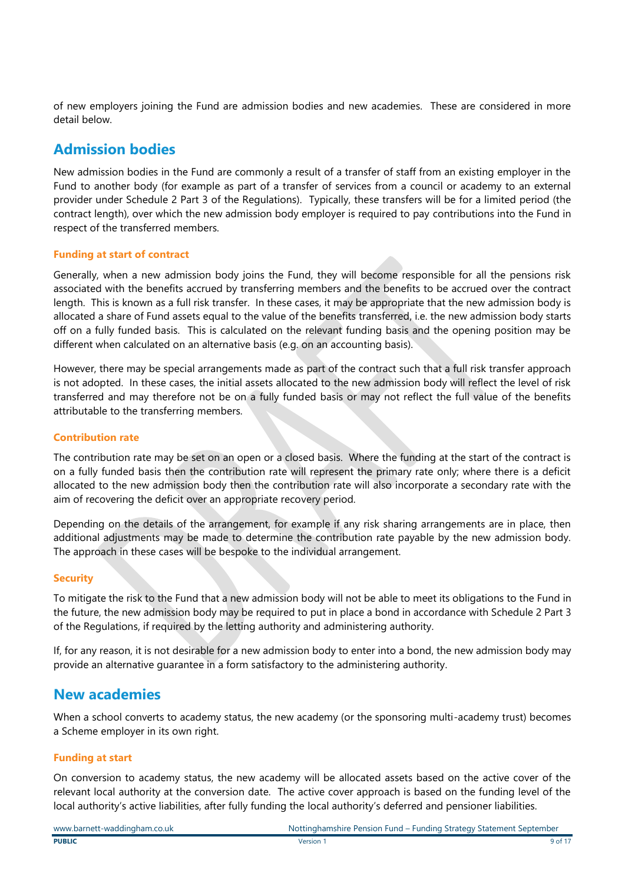of new employers joining the Fund are admission bodies and new academies. These are considered in more detail below.

### **Admission bodies**

New admission bodies in the Fund are commonly a result of a transfer of staff from an existing employer in the Fund to another body (for example as part of a transfer of services from a council or academy to an external provider under Schedule 2 Part 3 of the Regulations). Typically, these transfers will be for a limited period (the contract length), over which the new admission body employer is required to pay contributions into the Fund in respect of the transferred members.

#### **Funding at start of contract**

Generally, when a new admission body joins the Fund, they will become responsible for all the pensions risk associated with the benefits accrued by transferring members and the benefits to be accrued over the contract length. This is known as a full risk transfer. In these cases, it may be appropriate that the new admission body is allocated a share of Fund assets equal to the value of the benefits transferred, i.e. the new admission body starts off on a fully funded basis. This is calculated on the relevant funding basis and the opening position may be different when calculated on an alternative basis (e.g. on an accounting basis).

However, there may be special arrangements made as part of the contract such that a full risk transfer approach is not adopted. In these cases, the initial assets allocated to the new admission body will reflect the level of risk transferred and may therefore not be on a fully funded basis or may not reflect the full value of the benefits attributable to the transferring members.

#### **Contribution rate**

The contribution rate may be set on an open or a closed basis. Where the funding at the start of the contract is on a fully funded basis then the contribution rate will represent the primary rate only; where there is a deficit allocated to the new admission body then the contribution rate will also incorporate a secondary rate with the aim of recovering the deficit over an appropriate recovery period.

Depending on the details of the arrangement, for example if any risk sharing arrangements are in place, then additional adjustments may be made to determine the contribution rate payable by the new admission body. The approach in these cases will be bespoke to the individual arrangement.

#### **Security**

To mitigate the risk to the Fund that a new admission body will not be able to meet its obligations to the Fund in the future, the new admission body may be required to put in place a bond in accordance with Schedule 2 Part 3 of the Regulations, if required by the letting authority and administering authority.

If, for any reason, it is not desirable for a new admission body to enter into a bond, the new admission body may provide an alternative guarantee in a form satisfactory to the administering authority.

### **New academies**

When a school converts to academy status, the new academy (or the sponsoring multi-academy trust) becomes a Scheme employer in its own right.

#### **Funding at start**

On conversion to academy status, the new academy will be allocated assets based on the active cover of the relevant local authority at the conversion date. The active cover approach is based on the funding level of the local authority's active liabilities, after fully funding the local authority's deferred and pensioner liabilities.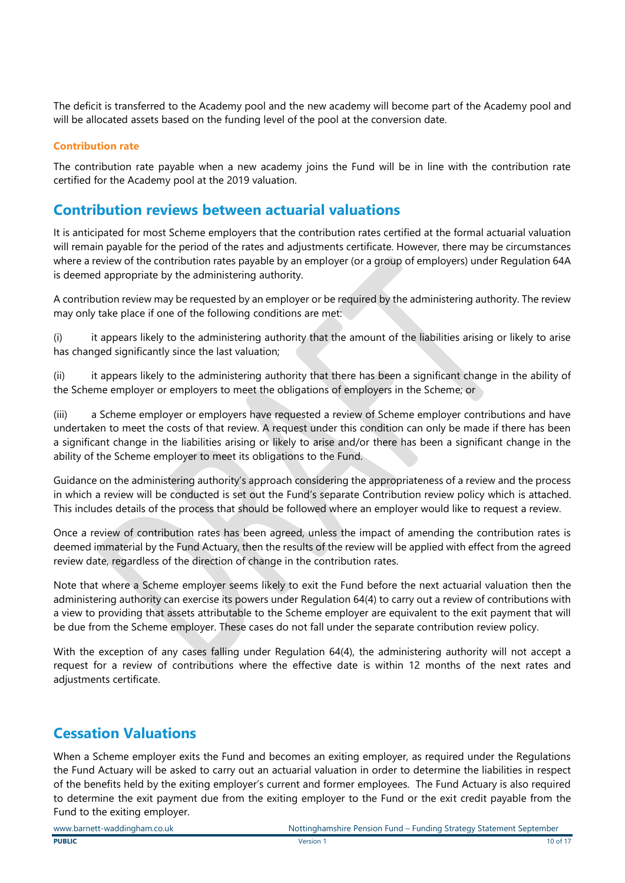The deficit is transferred to the Academy pool and the new academy will become part of the Academy pool and will be allocated assets based on the funding level of the pool at the conversion date.

#### **Contribution rate**

The contribution rate payable when a new academy joins the Fund will be in line with the contribution rate certified for the Academy pool at the 2019 valuation.

### **Contribution reviews between actuarial valuations**

It is anticipated for most Scheme employers that the contribution rates certified at the formal actuarial valuation will remain payable for the period of the rates and adjustments certificate. However, there may be circumstances where a review of the contribution rates payable by an employer (or a group of employers) under Regulation 64A is deemed appropriate by the administering authority.

A contribution review may be requested by an employer or be required by the administering authority. The review may only take place if one of the following conditions are met:

(i) it appears likely to the administering authority that the amount of the liabilities arising or likely to arise has changed significantly since the last valuation;

(ii) it appears likely to the administering authority that there has been a significant change in the ability of the Scheme employer or employers to meet the obligations of employers in the Scheme; or

(iii) a Scheme employer or employers have requested a review of Scheme employer contributions and have undertaken to meet the costs of that review. A request under this condition can only be made if there has been a significant change in the liabilities arising or likely to arise and/or there has been a significant change in the ability of the Scheme employer to meet its obligations to the Fund.

Guidance on the administering authority's approach considering the appropriateness of a review and the process in which a review will be conducted is set out the Fund's separate Contribution review policy which is attached. This includes details of the process that should be followed where an employer would like to request a review.

Once a review of contribution rates has been agreed, unless the impact of amending the contribution rates is deemed immaterial by the Fund Actuary, then the results of the review will be applied with effect from the agreed review date, regardless of the direction of change in the contribution rates.

Note that where a Scheme employer seems likely to exit the Fund before the next actuarial valuation then the administering authority can exercise its powers under Regulation 64(4) to carry out a review of contributions with a view to providing that assets attributable to the Scheme employer are equivalent to the exit payment that will be due from the Scheme employer. These cases do not fall under the separate contribution review policy.

With the exception of any cases falling under Regulation 64(4), the administering authority will not accept a request for a review of contributions where the effective date is within 12 months of the next rates and adjustments certificate.

### **Cessation Valuations**

When a Scheme employer exits the Fund and becomes an exiting employer, as required under the Regulations the Fund Actuary will be asked to carry out an actuarial valuation in order to determine the liabilities in respect of the benefits held by the exiting employer's current and former employees. The Fund Actuary is also required to determine the exit payment due from the exiting employer to the Fund or the exit credit payable from the Fund to the exiting employer.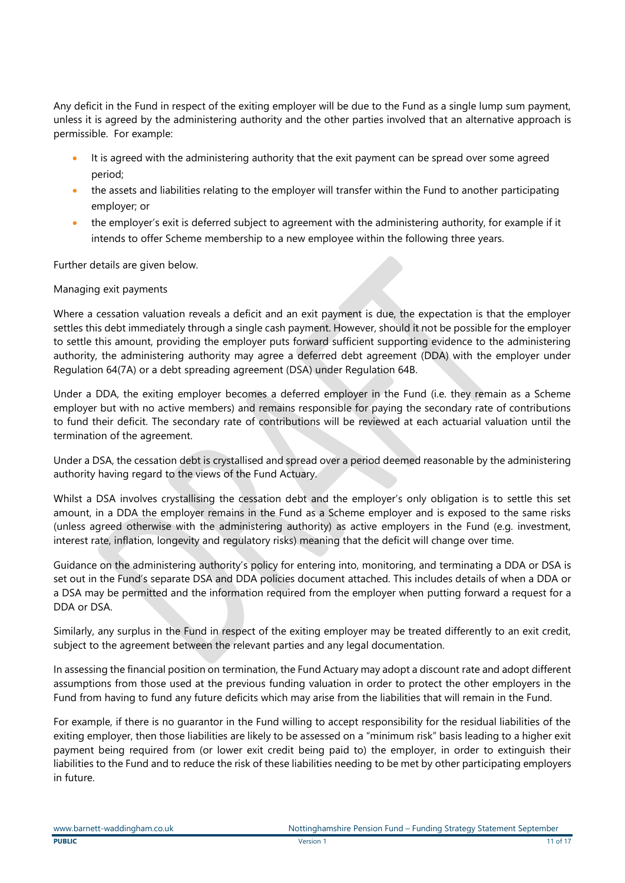Any deficit in the Fund in respect of the exiting employer will be due to the Fund as a single lump sum payment, unless it is agreed by the administering authority and the other parties involved that an alternative approach is permissible. For example:

- It is agreed with the administering authority that the exit payment can be spread over some agreed period;
- the assets and liabilities relating to the employer will transfer within the Fund to another participating employer; or
- the employer's exit is deferred subject to agreement with the administering authority, for example if it intends to offer Scheme membership to a new employee within the following three years.

Further details are given below.

#### Managing exit payments

Where a cessation valuation reveals a deficit and an exit payment is due, the expectation is that the employer settles this debt immediately through a single cash payment. However, should it not be possible for the employer to settle this amount, providing the employer puts forward sufficient supporting evidence to the administering authority, the administering authority may agree a deferred debt agreement (DDA) with the employer under Regulation 64(7A) or a debt spreading agreement (DSA) under Regulation 64B.

Under a DDA, the exiting employer becomes a deferred employer in the Fund (i.e. they remain as a Scheme employer but with no active members) and remains responsible for paying the secondary rate of contributions to fund their deficit. The secondary rate of contributions will be reviewed at each actuarial valuation until the termination of the agreement.

Under a DSA, the cessation debt is crystallised and spread over a period deemed reasonable by the administering authority having regard to the views of the Fund Actuary.

Whilst a DSA involves crystallising the cessation debt and the employer's only obligation is to settle this set amount, in a DDA the employer remains in the Fund as a Scheme employer and is exposed to the same risks (unless agreed otherwise with the administering authority) as active employers in the Fund (e.g. investment, interest rate, inflation, longevity and regulatory risks) meaning that the deficit will change over time.

Guidance on the administering authority's policy for entering into, monitoring, and terminating a DDA or DSA is set out in the Fund's separate DSA and DDA policies document attached. This includes details of when a DDA or a DSA may be permitted and the information required from the employer when putting forward a request for a DDA or DSA.

Similarly, any surplus in the Fund in respect of the exiting employer may be treated differently to an exit credit, subject to the agreement between the relevant parties and any legal documentation.

In assessing the financial position on termination, the Fund Actuary may adopt a discount rate and adopt different assumptions from those used at the previous funding valuation in order to protect the other employers in the Fund from having to fund any future deficits which may arise from the liabilities that will remain in the Fund.

For example, if there is no guarantor in the Fund willing to accept responsibility for the residual liabilities of the exiting employer, then those liabilities are likely to be assessed on a "minimum risk" basis leading to a higher exit payment being required from (or lower exit credit being paid to) the employer, in order to extinguish their liabilities to the Fund and to reduce the risk of these liabilities needing to be met by other participating employers in future.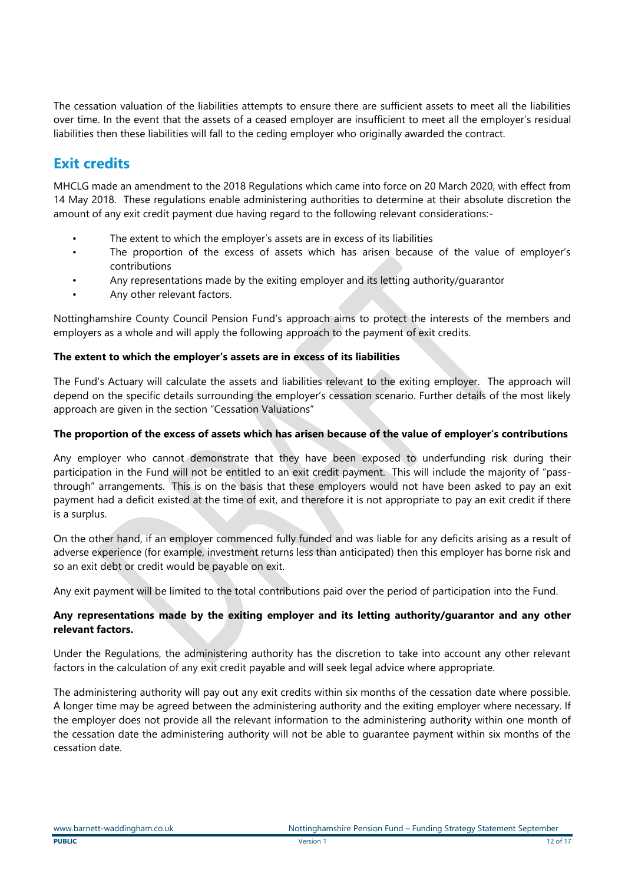The cessation valuation of the liabilities attempts to ensure there are sufficient assets to meet all the liabilities over time. In the event that the assets of a ceased employer are insufficient to meet all the employer's residual liabilities then these liabilities will fall to the ceding employer who originally awarded the contract.

### **Exit credits**

MHCLG made an amendment to the 2018 Regulations which came into force on 20 March 2020, with effect from 14 May 2018. These regulations enable administering authorities to determine at their absolute discretion the amount of any exit credit payment due having regard to the following relevant considerations:-

- The extent to which the employer's assets are in excess of its liabilities
- The proportion of the excess of assets which has arisen because of the value of employer's contributions
- Any representations made by the exiting employer and its letting authority/guarantor
- Any other relevant factors.

Nottinghamshire County Council Pension Fund's approach aims to protect the interests of the members and employers as a whole and will apply the following approach to the payment of exit credits.

#### **The extent to which the employer's assets are in excess of its liabilities**

The Fund's Actuary will calculate the assets and liabilities relevant to the exiting employer. The approach will depend on the specific details surrounding the employer's cessation scenario. Further details of the most likely approach are given in the section "Cessation Valuations"

#### **The proportion of the excess of assets which has arisen because of the value of employer's contributions**

Any employer who cannot demonstrate that they have been exposed to underfunding risk during their participation in the Fund will not be entitled to an exit credit payment. This will include the majority of "passthrough" arrangements. This is on the basis that these employers would not have been asked to pay an exit payment had a deficit existed at the time of exit, and therefore it is not appropriate to pay an exit credit if there is a surplus.

On the other hand, if an employer commenced fully funded and was liable for any deficits arising as a result of adverse experience (for example, investment returns less than anticipated) then this employer has borne risk and so an exit debt or credit would be payable on exit.

Any exit payment will be limited to the total contributions paid over the period of participation into the Fund.

#### **Any representations made by the exiting employer and its letting authority/guarantor and any other relevant factors.**

Under the Regulations, the administering authority has the discretion to take into account any other relevant factors in the calculation of any exit credit payable and will seek legal advice where appropriate.

The administering authority will pay out any exit credits within six months of the cessation date where possible. A longer time may be agreed between the administering authority and the exiting employer where necessary. If the employer does not provide all the relevant information to the administering authority within one month of the cessation date the administering authority will not be able to guarantee payment within six months of the cessation date.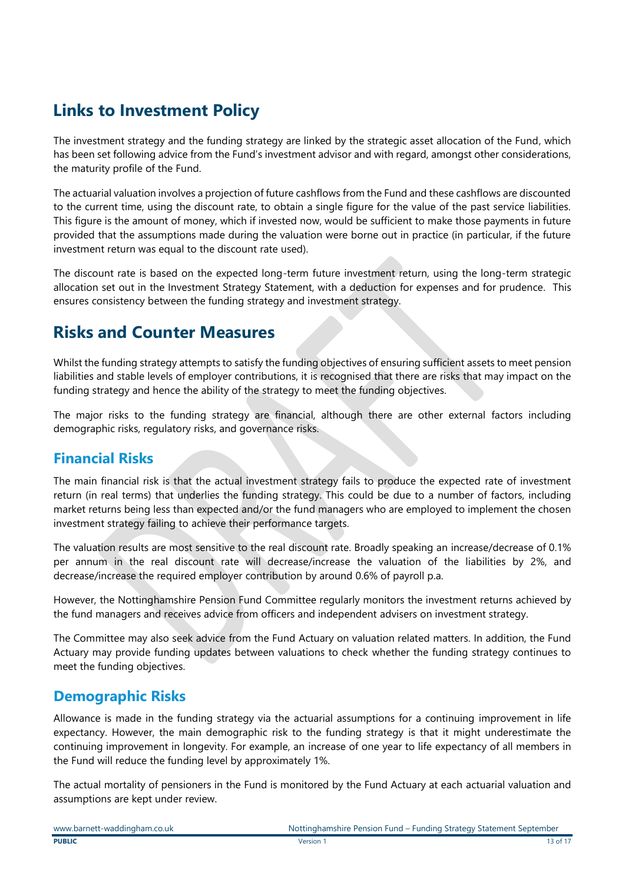## **Links to Investment Policy**

The investment strategy and the funding strategy are linked by the strategic asset allocation of the Fund, which has been set following advice from the Fund's investment advisor and with regard, amongst other considerations, the maturity profile of the Fund.

The actuarial valuation involves a projection of future cashflows from the Fund and these cashflows are discounted to the current time, using the discount rate, to obtain a single figure for the value of the past service liabilities. This figure is the amount of money, which if invested now, would be sufficient to make those payments in future provided that the assumptions made during the valuation were borne out in practice (in particular, if the future investment return was equal to the discount rate used).

The discount rate is based on the expected long-term future investment return, using the long-term strategic allocation set out in the Investment Strategy Statement, with a deduction for expenses and for prudence. This ensures consistency between the funding strategy and investment strategy.

## **Risks and Counter Measures**

Whilst the funding strategy attempts to satisfy the funding objectives of ensuring sufficient assets to meet pension liabilities and stable levels of employer contributions, it is recognised that there are risks that may impact on the funding strategy and hence the ability of the strategy to meet the funding objectives.

The major risks to the funding strategy are financial, although there are other external factors including demographic risks, regulatory risks, and governance risks.

### **Financial Risks**

The main financial risk is that the actual investment strategy fails to produce the expected rate of investment return (in real terms) that underlies the funding strategy. This could be due to a number of factors, including market returns being less than expected and/or the fund managers who are employed to implement the chosen investment strategy failing to achieve their performance targets.

The valuation results are most sensitive to the real discount rate. Broadly speaking an increase/decrease of 0.1% per annum in the real discount rate will decrease/increase the valuation of the liabilities by 2%, and decrease/increase the required employer contribution by around 0.6% of payroll p.a.

However, the Nottinghamshire Pension Fund Committee regularly monitors the investment returns achieved by the fund managers and receives advice from officers and independent advisers on investment strategy.

The Committee may also seek advice from the Fund Actuary on valuation related matters. In addition, the Fund Actuary may provide funding updates between valuations to check whether the funding strategy continues to meet the funding objectives.

### **Demographic Risks**

Allowance is made in the funding strategy via the actuarial assumptions for a continuing improvement in life expectancy. However, the main demographic risk to the funding strategy is that it might underestimate the continuing improvement in longevity. For example, an increase of one year to life expectancy of all members in the Fund will reduce the funding level by approximately 1%.

The actual mortality of pensioners in the Fund is monitored by the Fund Actuary at each actuarial valuation and assumptions are kept under review.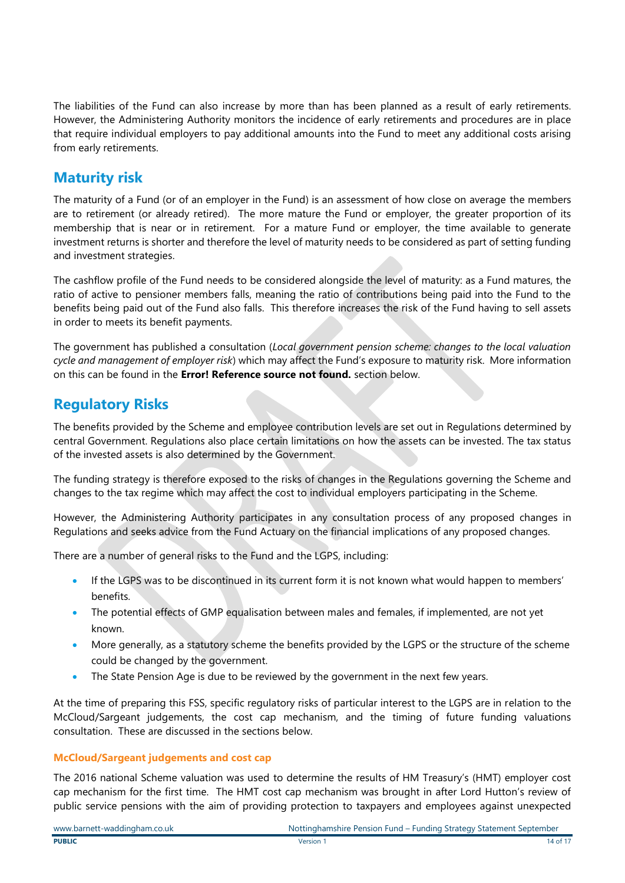The liabilities of the Fund can also increase by more than has been planned as a result of early retirements. However, the Administering Authority monitors the incidence of early retirements and procedures are in place that require individual employers to pay additional amounts into the Fund to meet any additional costs arising from early retirements.

### **Maturity risk**

The maturity of a Fund (or of an employer in the Fund) is an assessment of how close on average the members are to retirement (or already retired). The more mature the Fund or employer, the greater proportion of its membership that is near or in retirement. For a mature Fund or employer, the time available to generate investment returns is shorter and therefore the level of maturity needs to be considered as part of setting funding and investment strategies.

The cashflow profile of the Fund needs to be considered alongside the level of maturity: as a Fund matures, the ratio of active to pensioner members falls, meaning the ratio of contributions being paid into the Fund to the benefits being paid out of the Fund also falls. This therefore increases the risk of the Fund having to sell assets in order to meets its benefit payments.

The government has published a consultation (*Local government pension scheme: changes to the local valuation cycle and management of employer risk*) which may affect the Fund's exposure to maturity risk. More information on this can be found in the **Error! Reference source not found.** section below.

### **Regulatory Risks**

The benefits provided by the Scheme and employee contribution levels are set out in Regulations determined by central Government. Regulations also place certain limitations on how the assets can be invested. The tax status of the invested assets is also determined by the Government.

The funding strategy is therefore exposed to the risks of changes in the Regulations governing the Scheme and changes to the tax regime which may affect the cost to individual employers participating in the Scheme.

However, the Administering Authority participates in any consultation process of any proposed changes in Regulations and seeks advice from the Fund Actuary on the financial implications of any proposed changes.

There are a number of general risks to the Fund and the LGPS, including:

- If the LGPS was to be discontinued in its current form it is not known what would happen to members' benefits.
- The potential effects of GMP equalisation between males and females, if implemented, are not yet known.
- More generally, as a statutory scheme the benefits provided by the LGPS or the structure of the scheme could be changed by the government.
- The State Pension Age is due to be reviewed by the government in the next few years.

At the time of preparing this FSS, specific regulatory risks of particular interest to the LGPS are in relation to the McCloud/Sargeant judgements, the cost cap mechanism, and the timing of future funding valuations consultation. These are discussed in the sections below.

#### **McCloud/Sargeant judgements and cost cap**

The 2016 national Scheme valuation was used to determine the results of HM Treasury's (HMT) employer cost cap mechanism for the first time. The HMT cost cap mechanism was brought in after Lord Hutton's review of public service pensions with the aim of providing protection to taxpayers and employees against unexpected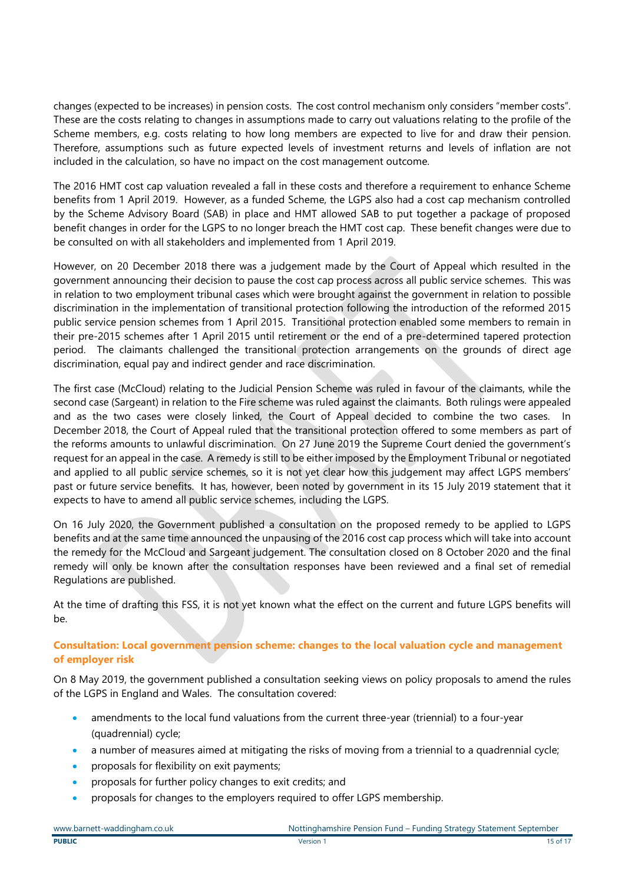changes (expected to be increases) in pension costs. The cost control mechanism only considers "member costs". These are the costs relating to changes in assumptions made to carry out valuations relating to the profile of the Scheme members, e.g. costs relating to how long members are expected to live for and draw their pension. Therefore, assumptions such as future expected levels of investment returns and levels of inflation are not included in the calculation, so have no impact on the cost management outcome.

The 2016 HMT cost cap valuation revealed a fall in these costs and therefore a requirement to enhance Scheme benefits from 1 April 2019. However, as a funded Scheme, the LGPS also had a cost cap mechanism controlled by the Scheme Advisory Board (SAB) in place and HMT allowed SAB to put together a package of proposed benefit changes in order for the LGPS to no longer breach the HMT cost cap. These benefit changes were due to be consulted on with all stakeholders and implemented from 1 April 2019.

However, on 20 December 2018 there was a judgement made by the Court of Appeal which resulted in the government announcing their decision to pause the cost cap process across all public service schemes. This was in relation to two employment tribunal cases which were brought against the government in relation to possible discrimination in the implementation of transitional protection following the introduction of the reformed 2015 public service pension schemes from 1 April 2015. Transitional protection enabled some members to remain in their pre-2015 schemes after 1 April 2015 until retirement or the end of a pre-determined tapered protection period. The claimants challenged the transitional protection arrangements on the grounds of direct age discrimination, equal pay and indirect gender and race discrimination.

The first case (McCloud) relating to the Judicial Pension Scheme was ruled in favour of the claimants, while the second case (Sargeant) in relation to the Fire scheme was ruled against the claimants. Both rulings were appealed and as the two cases were closely linked, the Court of Appeal decided to combine the two cases. In December 2018, the Court of Appeal ruled that the transitional protection offered to some members as part of the reforms amounts to unlawful discrimination. On 27 June 2019 the Supreme Court denied the government's request for an appeal in the case. A remedy is still to be either imposed by the Employment Tribunal or negotiated and applied to all public service schemes, so it is not yet clear how this judgement may affect LGPS members' past or future service benefits. It has, however, been noted by government in its 15 July 2019 statement that it expects to have to amend all public service schemes, including the LGPS.

On 16 July 2020, the Government published a consultation on the proposed remedy to be applied to LGPS benefits and at the same time announced the unpausing of the 2016 cost cap process which will take into account the remedy for the McCloud and Sargeant judgement. The consultation closed on 8 October 2020 and the final remedy will only be known after the consultation responses have been reviewed and a final set of remedial Regulations are published.

At the time of drafting this FSS, it is not yet known what the effect on the current and future LGPS benefits will be.

#### **Consultation: Local government pension scheme: changes to the local valuation cycle and management of employer risk**

On 8 May 2019, the government published a consultation seeking views on policy proposals to amend the rules of the LGPS in England and Wales. The consultation covered:

- amendments to the local fund valuations from the current three-year (triennial) to a four-year (quadrennial) cycle;
- a number of measures aimed at mitigating the risks of moving from a triennial to a quadrennial cycle;
- proposals for flexibility on exit payments;
- proposals for further policy changes to exit credits; and
- proposals for changes to the employers required to offer LGPS membership.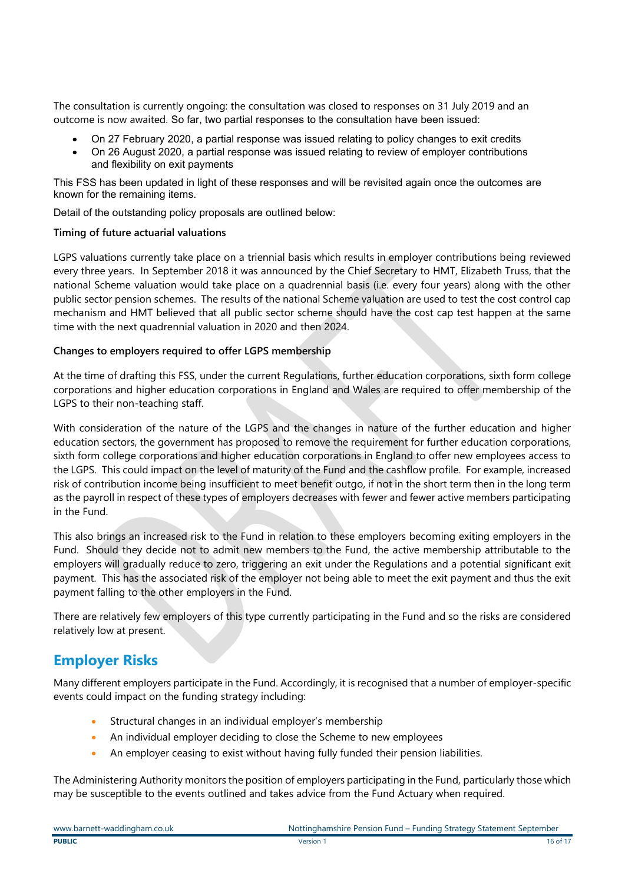The consultation is currently ongoing: the consultation was closed to responses on 31 July 2019 and an outcome is now awaited. So far, two partial responses to the consultation have been issued:

- On 27 February 2020, a partial response was issued relating to policy changes to exit credits
- On 26 August 2020, a partial response was issued relating to review of employer contributions and flexibility on exit payments

This FSS has been updated in light of these responses and will be revisited again once the outcomes are known for the remaining items.

Detail of the outstanding policy proposals are outlined below:

#### **Timing of future actuarial valuations**

LGPS valuations currently take place on a triennial basis which results in employer contributions being reviewed every three years. In September 2018 it was announced by the Chief Secretary to HMT, Elizabeth Truss, that the national Scheme valuation would take place on a quadrennial basis (i.e. every four years) along with the other public sector pension schemes. The results of the national Scheme valuation are used to test the cost control cap mechanism and HMT believed that all public sector scheme should have the cost cap test happen at the same time with the next quadrennial valuation in 2020 and then 2024.

#### **Changes to employers required to offer LGPS membership**

At the time of drafting this FSS, under the current Regulations, further education corporations, sixth form college corporations and higher education corporations in England and Wales are required to offer membership of the LGPS to their non-teaching staff.

With consideration of the nature of the LGPS and the changes in nature of the further education and higher education sectors, the government has proposed to remove the requirement for further education corporations, sixth form college corporations and higher education corporations in England to offer new employees access to the LGPS. This could impact on the level of maturity of the Fund and the cashflow profile. For example, increased risk of contribution income being insufficient to meet benefit outgo, if not in the short term then in the long term as the payroll in respect of these types of employers decreases with fewer and fewer active members participating in the Fund.

This also brings an increased risk to the Fund in relation to these employers becoming exiting employers in the Fund. Should they decide not to admit new members to the Fund, the active membership attributable to the employers will gradually reduce to zero, triggering an exit under the Regulations and a potential significant exit payment. This has the associated risk of the employer not being able to meet the exit payment and thus the exit payment falling to the other employers in the Fund.

There are relatively few employers of this type currently participating in the Fund and so the risks are considered relatively low at present.

### **Employer Risks**

Many different employers participate in the Fund. Accordingly, it is recognised that a number of employer-specific events could impact on the funding strategy including:

- Structural changes in an individual employer's membership
- An individual employer deciding to close the Scheme to new employees
- An employer ceasing to exist without having fully funded their pension liabilities.

The Administering Authority monitors the position of employers participating in the Fund, particularly those which may be susceptible to the events outlined and takes advice from the Fund Actuary when required.